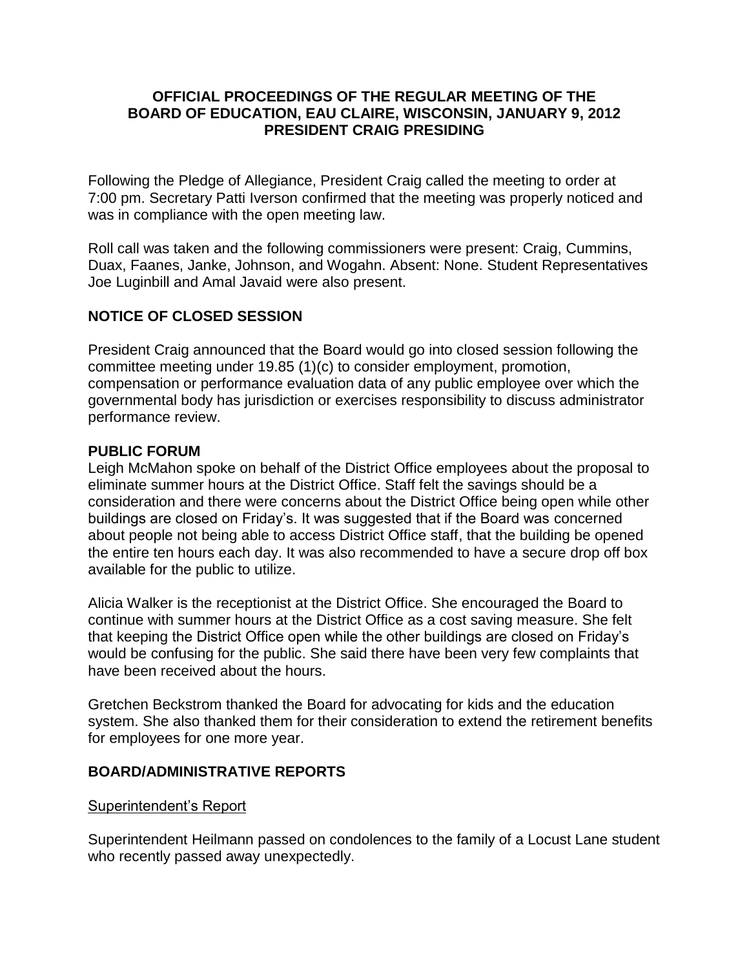# **OFFICIAL PROCEEDINGS OF THE REGULAR MEETING OF THE BOARD OF EDUCATION, EAU CLAIRE, WISCONSIN, JANUARY 9, 2012 PRESIDENT CRAIG PRESIDING**

Following the Pledge of Allegiance, President Craig called the meeting to order at 7:00 pm. Secretary Patti Iverson confirmed that the meeting was properly noticed and was in compliance with the open meeting law.

Roll call was taken and the following commissioners were present: Craig, Cummins, Duax, Faanes, Janke, Johnson, and Wogahn. Absent: None. Student Representatives Joe Luginbill and Amal Javaid were also present.

# **NOTICE OF CLOSED SESSION**

President Craig announced that the Board would go into closed session following the committee meeting under 19.85 (1)(c) to consider employment, promotion, compensation or performance evaluation data of any public employee over which the governmental body has jurisdiction or exercises responsibility to discuss administrator performance review.

# **PUBLIC FORUM**

Leigh McMahon spoke on behalf of the District Office employees about the proposal to eliminate summer hours at the District Office. Staff felt the savings should be a consideration and there were concerns about the District Office being open while other buildings are closed on Friday's. It was suggested that if the Board was concerned about people not being able to access District Office staff, that the building be opened the entire ten hours each day. It was also recommended to have a secure drop off box available for the public to utilize.

Alicia Walker is the receptionist at the District Office. She encouraged the Board to continue with summer hours at the District Office as a cost saving measure. She felt that keeping the District Office open while the other buildings are closed on Friday's would be confusing for the public. She said there have been very few complaints that have been received about the hours.

Gretchen Beckstrom thanked the Board for advocating for kids and the education system. She also thanked them for their consideration to extend the retirement benefits for employees for one more year.

# **BOARD/ADMINISTRATIVE REPORTS**

# Superintendent's Report

Superintendent Heilmann passed on condolences to the family of a Locust Lane student who recently passed away unexpectedly.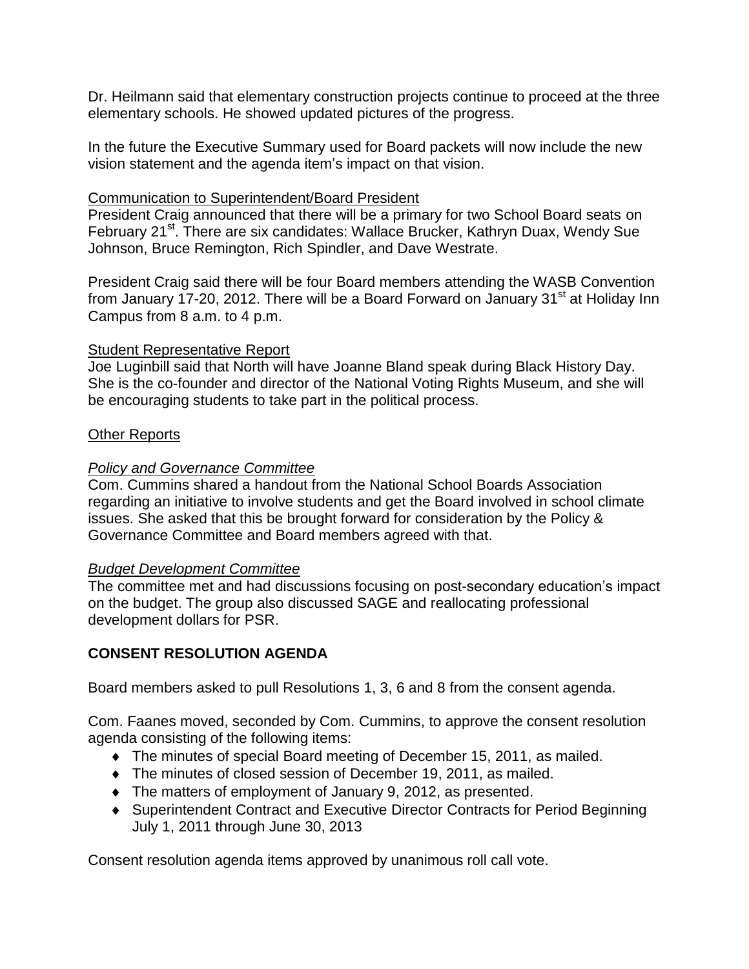Dr. Heilmann said that elementary construction projects continue to proceed at the three elementary schools. He showed updated pictures of the progress.

In the future the Executive Summary used for Board packets will now include the new vision statement and the agenda item's impact on that vision.

### Communication to Superintendent/Board President

President Craig announced that there will be a primary for two School Board seats on February 21<sup>st</sup>. There are six candidates: Wallace Brucker, Kathryn Duax, Wendy Sue Johnson, Bruce Remington, Rich Spindler, and Dave Westrate.

President Craig said there will be four Board members attending the WASB Convention from January 17-20, 2012. There will be a Board Forward on January 31<sup>st</sup> at Holiday Inn Campus from 8 a.m. to 4 p.m.

#### **Student Representative Report**

Joe Luginbill said that North will have Joanne Bland speak during Black History Day. She is the co-founder and director of the National Voting Rights Museum, and she will be encouraging students to take part in the political process.

### Other Reports

# *Policy and Governance Committee*

Com. Cummins shared a handout from the National School Boards Association regarding an initiative to involve students and get the Board involved in school climate issues. She asked that this be brought forward for consideration by the Policy & Governance Committee and Board members agreed with that.

#### *Budget Development Committee*

The committee met and had discussions focusing on post-secondary education's impact on the budget. The group also discussed SAGE and reallocating professional development dollars for PSR.

# **CONSENT RESOLUTION AGENDA**

Board members asked to pull Resolutions 1, 3, 6 and 8 from the consent agenda.

Com. Faanes moved, seconded by Com. Cummins, to approve the consent resolution agenda consisting of the following items:

- The minutes of special Board meeting of December 15, 2011, as mailed.
- The minutes of closed session of December 19, 2011, as mailed.
- The matters of employment of January 9, 2012, as presented.
- Superintendent Contract and Executive Director Contracts for Period Beginning July 1, 2011 through June 30, 2013

Consent resolution agenda items approved by unanimous roll call vote.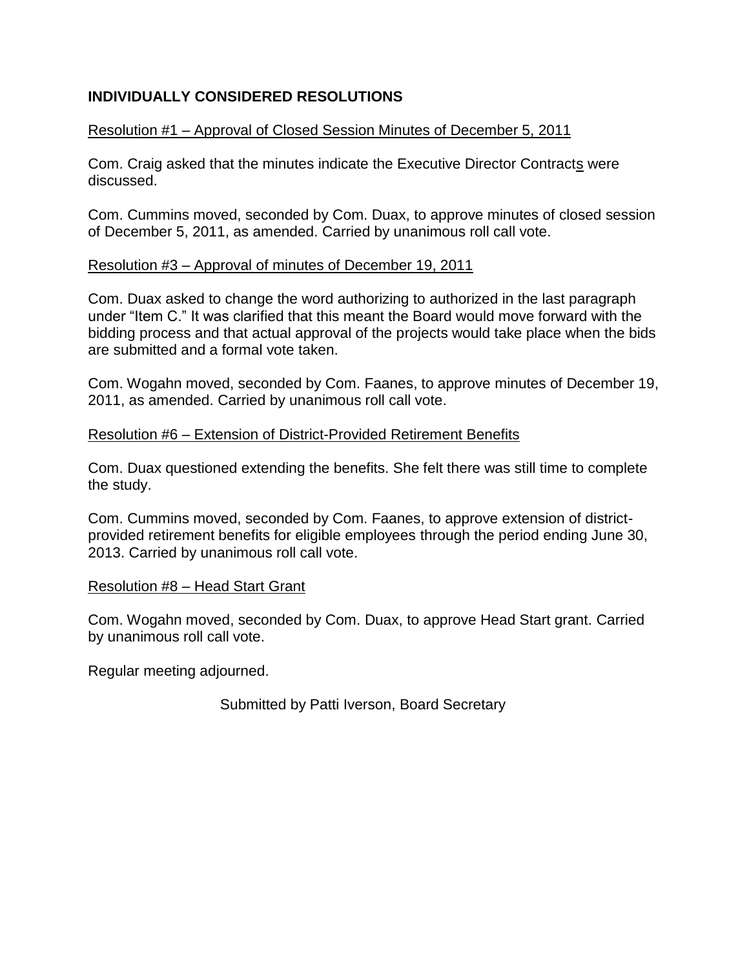# **INDIVIDUALLY CONSIDERED RESOLUTIONS**

# Resolution #1 – Approval of Closed Session Minutes of December 5, 2011

Com. Craig asked that the minutes indicate the Executive Director Contracts were discussed.

Com. Cummins moved, seconded by Com. Duax, to approve minutes of closed session of December 5, 2011, as amended. Carried by unanimous roll call vote.

### Resolution #3 – Approval of minutes of December 19, 2011

Com. Duax asked to change the word authorizing to authorized in the last paragraph under "Item C." It was clarified that this meant the Board would move forward with the bidding process and that actual approval of the projects would take place when the bids are submitted and a formal vote taken.

Com. Wogahn moved, seconded by Com. Faanes, to approve minutes of December 19, 2011, as amended. Carried by unanimous roll call vote.

### Resolution #6 – Extension of District-Provided Retirement Benefits

Com. Duax questioned extending the benefits. She felt there was still time to complete the study.

Com. Cummins moved, seconded by Com. Faanes, to approve extension of districtprovided retirement benefits for eligible employees through the period ending June 30, 2013. Carried by unanimous roll call vote.

# Resolution #8 – Head Start Grant

Com. Wogahn moved, seconded by Com. Duax, to approve Head Start grant. Carried by unanimous roll call vote.

Regular meeting adjourned.

Submitted by Patti Iverson, Board Secretary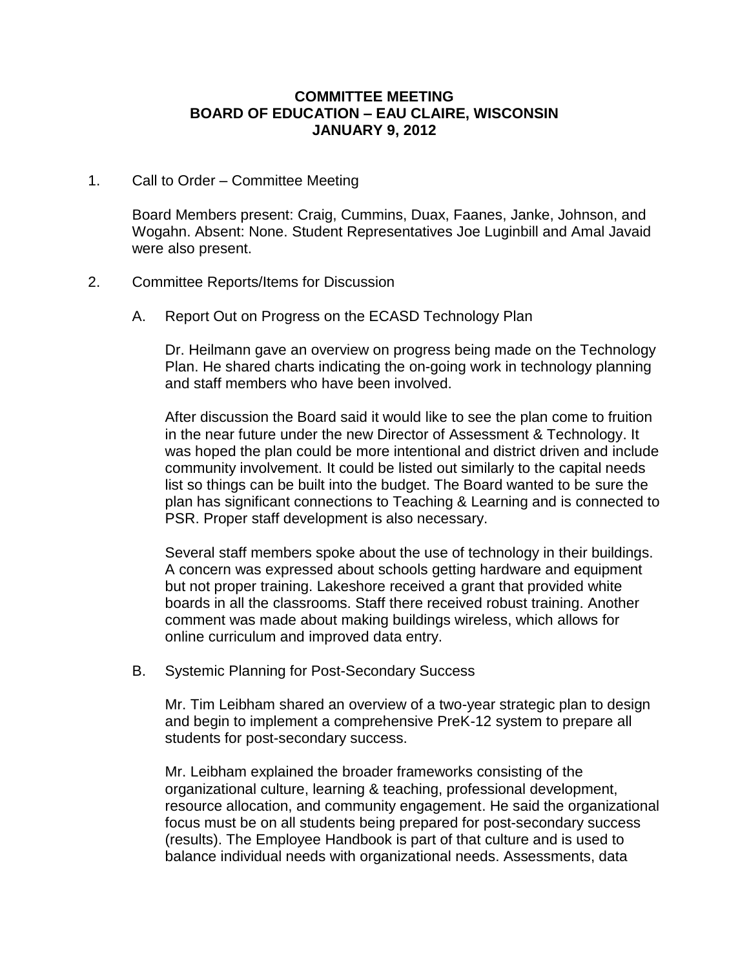### **COMMITTEE MEETING BOARD OF EDUCATION – EAU CLAIRE, WISCONSIN JANUARY 9, 2012**

1. Call to Order – Committee Meeting

Board Members present: Craig, Cummins, Duax, Faanes, Janke, Johnson, and Wogahn. Absent: None. Student Representatives Joe Luginbill and Amal Javaid were also present.

- 2. Committee Reports/Items for Discussion
	- A. Report Out on Progress on the ECASD Technology Plan

Dr. Heilmann gave an overview on progress being made on the Technology Plan. He shared charts indicating the on-going work in technology planning and staff members who have been involved.

After discussion the Board said it would like to see the plan come to fruition in the near future under the new Director of Assessment & Technology. It was hoped the plan could be more intentional and district driven and include community involvement. It could be listed out similarly to the capital needs list so things can be built into the budget. The Board wanted to be sure the plan has significant connections to Teaching & Learning and is connected to PSR. Proper staff development is also necessary.

Several staff members spoke about the use of technology in their buildings. A concern was expressed about schools getting hardware and equipment but not proper training. Lakeshore received a grant that provided white boards in all the classrooms. Staff there received robust training. Another comment was made about making buildings wireless, which allows for online curriculum and improved data entry.

B. Systemic Planning for Post-Secondary Success

Mr. Tim Leibham shared an overview of a two-year strategic plan to design and begin to implement a comprehensive PreK-12 system to prepare all students for post-secondary success.

Mr. Leibham explained the broader frameworks consisting of the organizational culture, learning & teaching, professional development, resource allocation, and community engagement. He said the organizational focus must be on all students being prepared for post-secondary success (results). The Employee Handbook is part of that culture and is used to balance individual needs with organizational needs. Assessments, data